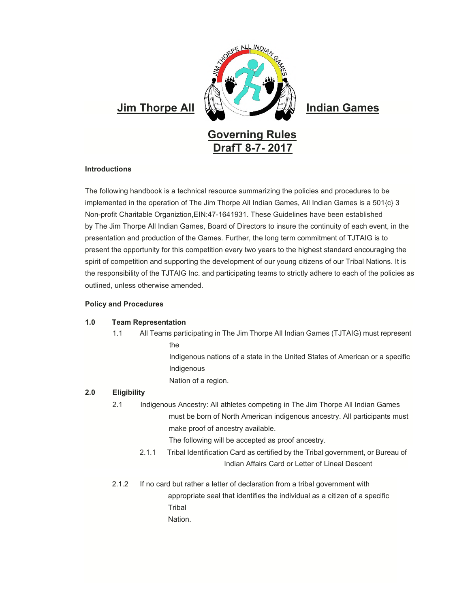

# **Introductions**

The following handbook is a technical resource summarizing the policies and procedures to be implemented in the operation of The Jim Thorpe All Indian Games, All Indian Games is a 501{c} 3 Non-profit Charitable Organiztion,EIN:47-1641931. These Guidelines have been established by The Jim Thorpe All Indian Games, Board of Directors to insure the continuity of each event, in the presentation and production of the Games. Further, the long term commitment of TJTAIG is to present the opportunity for this competition every two years to the highest standard encouraging the spirit of competition and supporting the development of our young citizens of our Tribal Nations. It is the responsibility of the TJTAIG Inc. and participating teams to strictly adhere to each of the policies as outlined, unless otherwise amended.

#### **Policy and Procedures**

# **1.0 Team Representation**

1.1 All Teams participating in The Jim Thorpe All Indian Games (TJTAIG) must represent the

> Indigenous nations of a state in the United States of American or a specific Indigenous

Nation of a region.

# **2.0 Eligibility**

2.1 Indigenous Ancestry: All athletes competing in The Jim Thorpe All Indian Games must be born of North American indigenous ancestry. All participants must make proof of ancestry available.

The following will be accepted as proof ancestry.

- 2.1.1 Tribal Identification Card as certified by the Tribal government, or Bureau of Indian Affairs Card or Letter of Lineal Descent
- 2.1.2 If no card but rather a letter of declaration from a tribal government with appropriate seal that identifies the individual as a citizen of a specific **Tribal** Nation.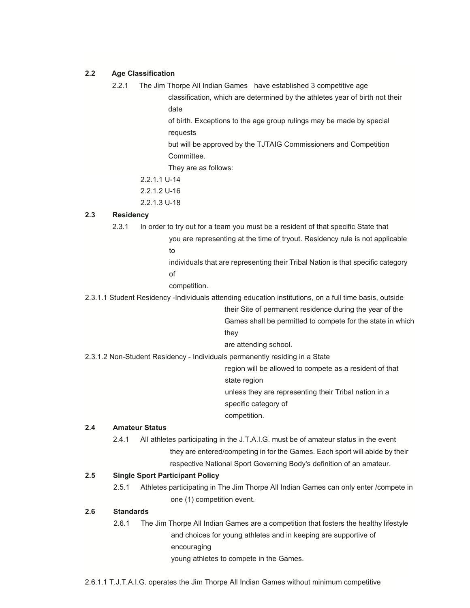# **2.2 Age Classification**

2.2.1 The Jim Thorpe All Indian Games have established 3 competitive age classification, which are determined by the athletes year of birth not their date

> of birth. Exceptions to the age group rulings may be made by special requests

> but will be approved by the TJTAIG Commissioners and Competition Committee.

They are as follows:

- 2.2.1.1 U-14
- 2.2.1.2 U-16
- 2.2.1.3 U-18

### **2.3 Residency**

- 2.3.1 In order to try out for a team you must be a resident of that specific State that
	- you are representing at the time of tryout. Residency rule is not applicable to
	- individuals that are representing their Tribal Nation is that specific category of
	- competition.

2.3.1.1 Student Residency -Individuals attending education institutions, on a full time basis, outside

their Site of permanent residence during the year of the Games shall be permitted to compete for the state in which they

are attending school.

2.3.1.2 Non-Student Residency - Individuals permanently residing in a State

region will be allowed to compete as a resident of that state region

unless they are representing their Tribal nation in a specific category of

competition.

#### **2.4 Amateur Status**

2.4.1 All athletes participating in the J.T.A.I.G. must be of amateur status in the event they are entered/competing in for the Games. Each sport will abide by their respective National Sport Governing Body's definition of an amateur.

# **2.5 Single Sport Participant Policy**

2.5.1 Athletes participating in The Jim Thorpe All Indian Games can only enter /compete in one (1) competition event.

# **2.6 Standards**

2.6.1 The Jim Thorpe All Indian Games are a competition that fosters the healthy lifestyle and choices for young athletes and in keeping are supportive of encouraging young athletes to compete in the Games.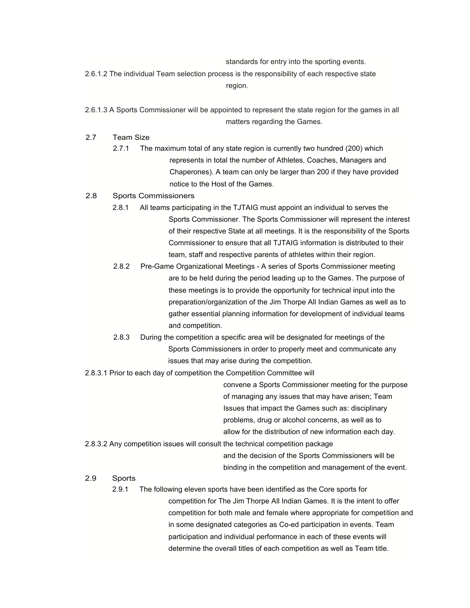standards for entry into the sporting events.

2.6.1.2 The individual Team selection process is the responsibility of each respective state region.

- 2.6.1.3 A Sports Commissioner will be appointed to represent the state region for the games in all matters regarding the Games.
- 2.7 Team Size
	- 2.7.1 The maximum total of any state region is currently two hundred (200) which represents in total the number of Athletes, Coaches, Managers and Chaperones). A team can only be larger than 200 if they have provided notice to the Host of the Games.

# 2.8 Sports Commissioners

- 2.8.1 All teams participating in the TJTAIG must appoint an individual to serves the Sports Commissioner. The Sports Commissioner will represent the interest of their respective State at all meetings. It is the responsibility of the Sports Commissioner to ensure that all TJTAIG information is distributed to their team, staff and respective parents of athletes within their region.
- 2.8.2 Pre-Game Organizational Meetings A series of Sports Commissioner meeting are to be held during the period leading up to the Games. The purpose of these meetings is to provide the opportunity for technical input into the preparation/organization of the Jim Thorpe All Indian Games as well as to gather essential planning information for development of individual teams and competition.
- 2.8.3 During the competition a specific area will be designated for meetings of the Sports Commissioners in order to properly meet and communicate any issues that may arise during the competition.
- 2.8.3.1 Prior to each day of competition the Competition Committee will

convene a Sports Commissioner meeting for the purpose of managing any issues that may have arisen; Team Issues that impact the Games such as: disciplinary problems, drug or alcohol concerns, as well as to allow for the distribution of new information each day.

2.8.3.2 Any competition issues will consult the technical competition package

and the decision of the Sports Commissioners will be binding in the competition and management of the event.

# 2.9 Sports

2.9.1 The following eleven sports have been identified as the Core sports for competition for The Jim Thorpe All Indian Games. It is the intent to offer competition for both male and female where appropriate for competition and in some designated categories as Co-ed participation in events. Team participation and individual performance in each of these events will determine the overall titles of each competition as well as Team title.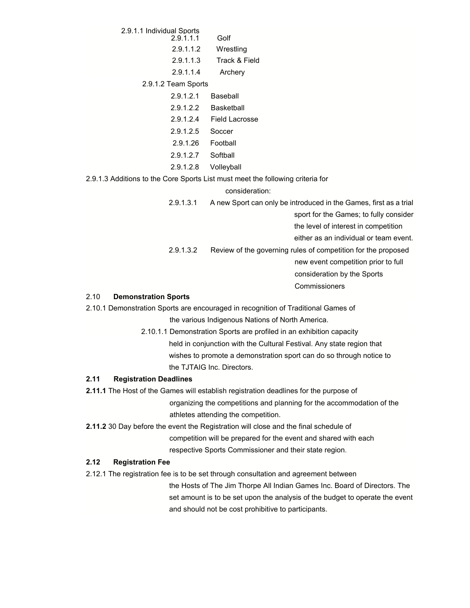2.9.1.1 Individual Sports 2.9.1.1.1 Golf 2.9.1.1.2 Wrestling 2.9.1.1.3 Track & Field 2.9.1.1.4 Archery 2.9.1.2 Team Sports 2.9.1.2.1 Baseball 2.9.1.2.2 Basketball 2.9.1.2.4 Field Lacrosse 2.9.1.2.5 Soccer

- 2.9.1.26 Football
- 2.9.1.2.7 Softball
- 2.9.1.2.8 Volleyball

2.9.1.3 Additions to the Core Sports List must meet the following criteria for

consideration:

2.9.1.3.1 A new Sport can only be introduced in the Games, first as a trial sport for the Games; to fully consider the level of interest in competition either as an individual or team event. 2.9.1.3.2 Review of the governing rules of competition for the proposed new event competition prior to full consideration by the Sports **Commissioners** 

# 2.10 **Demonstration Sports**

2.10.1 Demonstration Sports are encouraged in recognition of Traditional Games of the various Indigenous Nations of North America.

> 2.10.1.1 Demonstration Sports are profiled in an exhibition capacity held in conjunction with the Cultural Festival. Any state region that wishes to promote a demonstration sport can do so through notice to the TJTAIG Inc. Directors.

# **2.11 Registration Deadlines**

**2.11.1** The Host of the Games will establish registration deadlines for the purpose of organizing the competitions and planning for the accommodation of the athletes attending the competition.

**2.11.2** 30 Day before the event the Registration will close and the final schedule of competition will be prepared for the event and shared with each respective Sports Commissioner and their state region.

# **2.12 Registration Fee**

2.12.1 The registration fee is to be set through consultation and agreement between

the Hosts of The Jim Thorpe All Indian Games Inc. Board of Directors. The set amount is to be set upon the analysis of the budget to operate the event and should not be cost prohibitive to participants.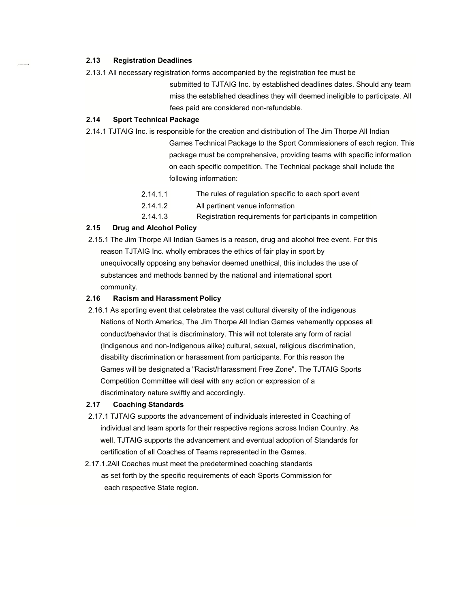# **2.13 Registration Deadlines**

2.13.1 All necessary registration forms accompanied by the registration fee must be

submitted to TJTAIG Inc. by established deadlines dates. Should any team miss the established deadlines they will deemed ineligible to participate. All fees paid are considered non-refundable.

### **2.14 Sport Technical Package**

2.14.1 TJTAIG Inc. is responsible for the creation and distribution of The Jim Thorpe All Indian

Games Technical Package to the Sport Commissioners of each region. This package must be comprehensive, providing teams with specific information on each specific competition. The Technical package shall include the following information:

| 2.14.1.1 | The rules of regulation specific to each sport event      |
|----------|-----------------------------------------------------------|
| 2.14.1.2 | All pertinent venue information                           |
| 2.14.1.3 | Registration requirements for participants in competition |

# **2.15 Drug and Alcohol Policy**

 2.15.1 The Jim Thorpe All Indian Games is a reason, drug and alcohol free event. For this reason TJTAIG Inc. wholly embraces the ethics of fair play in sport by unequivocally opposing any behavior deemed unethical, this includes the use of substances and methods banned by the national and international sport community.

### **2.16 Racism and Harassment Policy**

 2.16.1 As sporting event that celebrates the vast cultural diversity of the indigenous Nations of North America, The Jim Thorpe All Indian Games vehemently opposes all conduct/behavior that is discriminatory. This will not tolerate any form of racial (Indigenous and non-Indigenous alike) cultural, sexual, religious discrimination, disability discrimination or harassment from participants. For this reason the Games will be designated a "Racist/Harassment Free Zone". The TJTAIG Sports Competition Committee will deal with any action or expression of a discriminatory nature swiftly and accordingly.

### **2.17 Coaching Standards**

- 2.17.1 TJTAIG supports the advancement of individuals interested in Coaching of individual and team sports for their respective regions across Indian Country. As well, TJTAIG supports the advancement and eventual adoption of Standards for certification of all Coaches of Teams represented in the Games.
- 2.17.1.2All Coaches must meet the predetermined coaching standards as set forth by the specific requirements of each Sports Commission for each respective State region.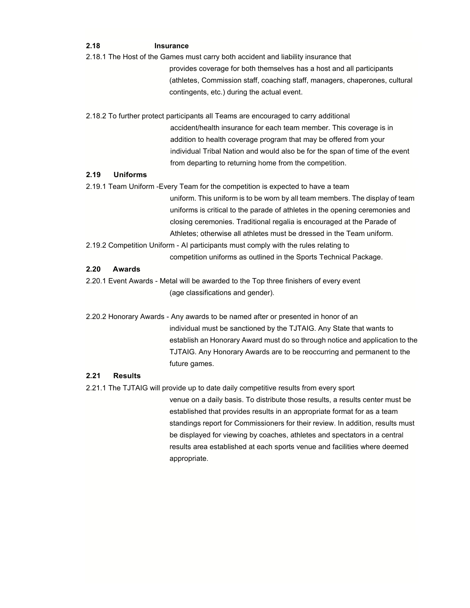# **2.18 Insurance**

2.18.1 The Host of the Games must carry both accident and liability insurance that

provides coverage for both themselves has a host and all participants (athletes, Commission staff, coaching staff, managers, chaperones, cultural contingents, etc.) during the actual event.

2.18.2 To further protect participants all Teams are encouraged to carry additional accident/health insurance for each team member. This coverage is in addition to health coverage program that may be offered from your individual Tribal Nation and would also be for the span of time of the event from departing to returning home from the competition.

# **2.19 Uniforms**

- 2.19.1 Team Uniform -Every Team for the competition is expected to have a team uniform. This uniform is to be worn by all team members. The display of team uniforms is critical to the parade of athletes in the opening ceremonies and closing ceremonies. Traditional regalia is encouraged at the Parade of Athletes; otherwise all athletes must be dressed in the Team uniform.
- 2.19.2 Competition Uniform AI participants must comply with the rules relating to competition uniforms as outlined in the Sports Technical Package.

### **2.20 Awards**

2.20.1 Event Awards - Metal will be awarded to the Top three finishers of every event (age classifications and gender).

2.20.2 Honorary Awards - Any awards to be named after or presented in honor of an individual must be sanctioned by the TJTAIG. Any State that wants to establish an Honorary Award must do so through notice and application to the TJTAIG. Any Honorary Awards are to be reoccurring and permanent to the future games.

# **2.21 Results**

2.21.1 The TJTAIG will provide up to date daily competitive results from every sport

venue on a daily basis. To distribute those results, a results center must be established that provides results in an appropriate format for as a team standings report for Commissioners for their review. In addition, results must be displayed for viewing by coaches, athletes and spectators in a central results area established at each sports venue and facilities where deemed appropriate.